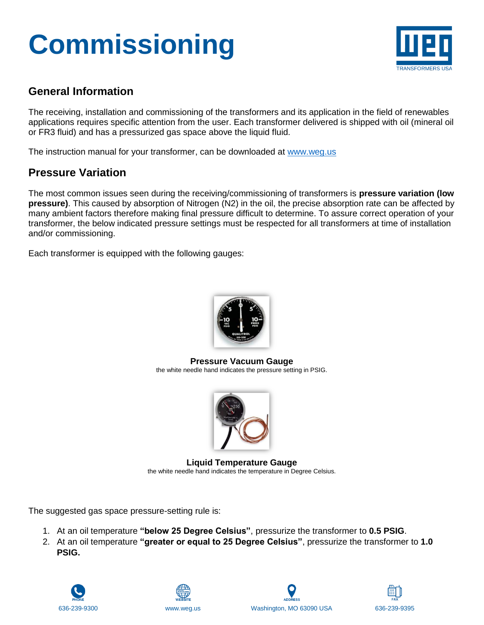# **Commissioning**



### **General Information**

The receiving, installation and commissioning of the transformers and its application in the field of renewables applications requires specific attention from the user. Each transformer delivered is shipped with oil (mineral oil or FR3 fluid) and has a pressurized gas space above the liquid fluid.

The instruction manual for your transformer, can be downloaded at [www.weg.us](http://www.weg.us/)

### **Pressure Variation**

The most common issues seen during the receiving/commissioning of transformers is **pressure variation (low pressure)**. This caused by absorption of Nitrogen (N2) in the oil, the precise absorption rate can be affected by many ambient factors therefore making final pressure difficult to determine. To assure correct operation of your transformer, the below indicated pressure settings must be respected for all transformers at time of installation and/or commissioning.

Each transformer is equipped with the following gauges:



**Pressure Vacuum Gauge** the white needle hand indicates the pressure setting in PSIG.



**Liquid Temperature Gauge** the white needle hand indicates the temperature in Degree Celsius.

The suggested gas space pressure-setting rule is:

- 1. At an oil temperature **"below 25 Degree Celsius"**, pressurize the transformer to **0.5 PSIG**.
- 2. At an oil temperature **"greater or equal to 25 Degree Celsius"**, pressurize the transformer to **1.0 PSIG.**